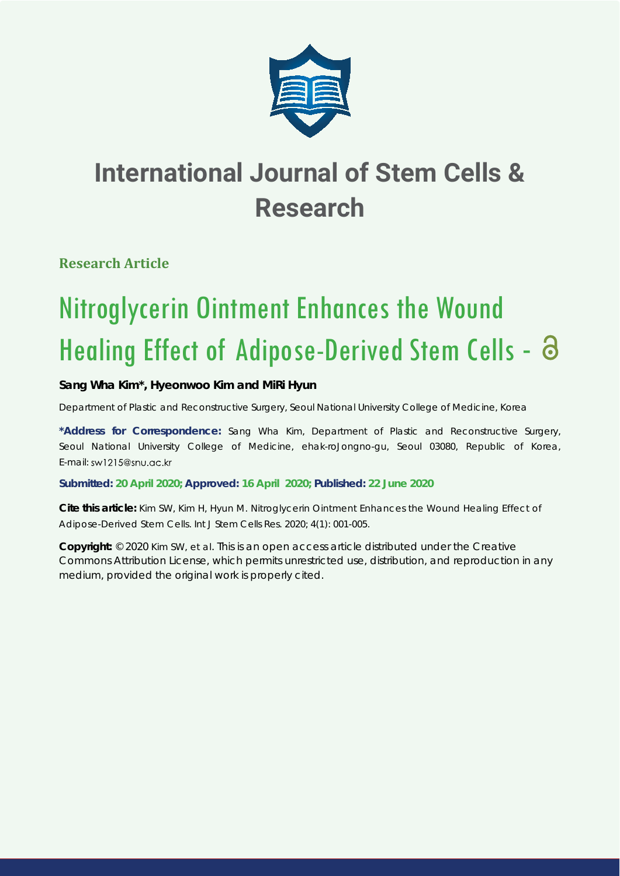

**Research Article**

# Nitroglycerin Ointment Enhances the Wound Healing Effect of Adipose-Derived Stem Cells - 8

### **Sang Wha Kim\*, Hyeonwoo Kim and MiRi Hyun**

*Department of Plastic and Reconstructive Surgery, Seoul National University College of Medicine, Korea*

**\*Address for Correspondence:** Sang Wha Kim, Department of Plastic and Reconstructive Surgery, Seoul National University College of Medicine, ehak-roJongno-gu, Seoul 03080, Republic of Korea, E-mail: sw1215@snu.gc.kr

**Submitted: 20 April 2020; Approved: 16 April 2020; Published: 22 June 2020**

**Cite this article:** Kim SW, Kim H, Hyun M. Nitroglycerin Ointment Enhances the Wound Healing Effect of Adipose-Derived Stem Cells. Int J Stem Cells Res. 2020; 4(1): 001-005.

**Copyright:** © 2020 Kim SW, et al. This is an open access article distributed under the Creative Commons Attribution License, which permits unrestricted use, distribution, and reproduction in any medium, provided the original work is properly cited.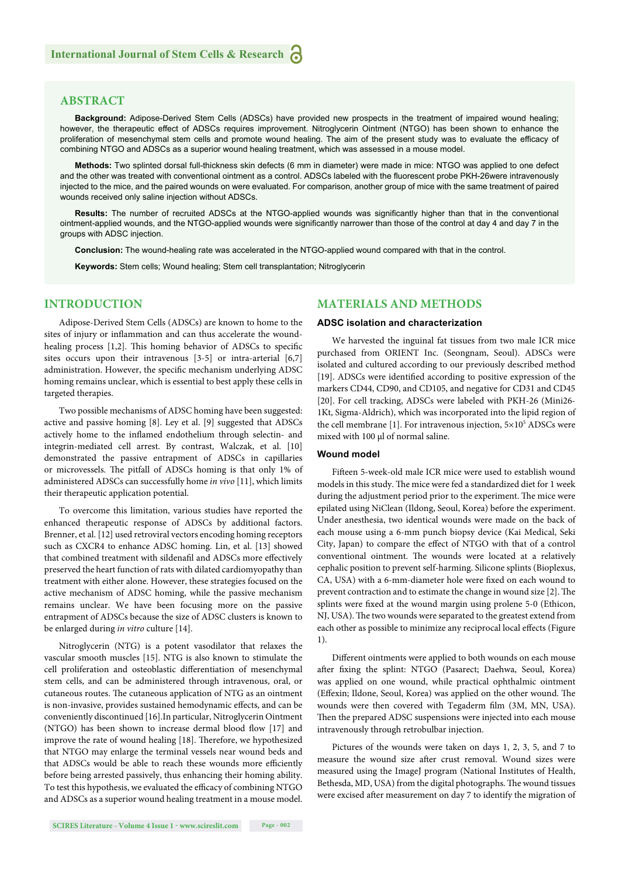#### **ABSTRACT**

**Background:** Adipose-Derived Stem Cells (ADSCs) have provided new prospects in the treatment of impaired wound healing; however, the therapeutic effect of ADSCs requires improvement. Nitroglycerin Ointment (NTGO) has been shown to enhance the proliferation of mesenchymal stem cells and promote wound healing. The aim of the present study was to evaluate the efficacy of combining NTGO and ADSCs as a superior wound healing treatment, which was assessed in a mouse model.

**Methods:** Two splinted dorsal full-thickness skin defects (6 mm in diameter) were made in mice: NTGO was applied to one defect and the other was treated with conventional ointment as a control. ADSCs labeled with the fluorescent probe PKH-26were intravenously injected to the mice, and the paired wounds on were evaluated. For comparison, another group of mice with the same treatment of paired wounds received only saline injection without ADSCs.

**Results:** The number of recruited ADSCs at the NTGO-applied wounds was significantly higher than that in the conventional ointment-applied wounds, and the NTGO-applied wounds were significantly narrower than those of the control at day 4 and day 7 in the groups with ADSC injection.

**Conclusion:** The wound-healing rate was accelerated in the NTGO-applied wound compared with that in the control.

**Keywords:** Stem cells; Wound healing; Stem cell transplantation; Nitroglycerin

#### **INTRODUCTION**

Adipose-Derived Stem Cells (ADSCs) are known to home to the sites of injury or inflammation and can thus accelerate the woundhealing process [1,2]. This homing behavior of ADSCs to specific sites occurs upon their intravenous [3-5] or intra-arterial [6,7] administration. However, the specific mechanism underlying ADSC homing remains unclear, which is essential to best apply these cells in targeted therapies.

Two possible mechanisms of ADSC homing have been suggested: active and passive homing [8]. Ley et al. [9] suggested that ADSCs actively home to the inflamed endothelium through selectin- and integrin-mediated cell arrest. By contrast, Walczak, et al. [10] demonstrated the passive entrapment of ADSCs in capillaries or microvessels. The pitfall of ADSCs homing is that only 1% of administered ADSCs can successfully home *in vivo* [11], which limits their therapeutic application potential.

To overcome this limitation, various studies have reported the enhanced therapeutic response of ADSCs by additional factors. Brenner, et al. [12] used retroviral vectors encoding homing receptors such as CXCR4 to enhance ADSC homing. Lin, et al. [13] showed that combined treatment with sildenafil and ADSCs more effectively preserved the heart function of rats with dilated cardiomyopathy than treatment with either alone. However, these strategies focused on the active mechanism of ADSC homing, while the passive mechanism remains unclear. We have been focusing more on the passive entrapment of ADSCs because the size of ADSC clusters is known to be enlarged during *in vitro* culture [14].

Nitroglycerin (NTG) is a potent vasodilator that relaxes the vascular smooth muscles [15]. NTG is also known to stimulate the cell proliferation and osteoblastic differentiation of mesenchymal stem cells, and can be administered through intravenous, oral, or cutaneous routes. The cutaneous application of NTG as an ointment is non-invasive, provides sustained hemodynamic effects, and can be conveniently discontinued [16].In particular, Nitroglycerin Ointment (NTGO) has been shown to increase dermal blood flow [17] and improve the rate of wound healing [18]. Therefore, we hypothesized that NTGO may enlarge the terminal vessels near wound beds and that ADSCs would be able to reach these wounds more efficiently before being arrested passively, thus enhancing their homing ability. To test this hypothesis, we evaluated the efficacy of combining NTGO and ADSCs as a superior wound healing treatment in a mouse model.

#### **MATERIALS AND METHODS**

#### **ADSC isolation and characterization**

We harvested the inguinal fat tissues from two male ICR mice purchased from ORIENT Inc. (Seongnam, Seoul). ADSCs were isolated and cultured according to our previously described method [19]. ADSCs were identified according to positive expression of the markers CD44, CD90, and CD105, and negative for CD31 and CD45 [20]. For cell tracking, ADSCs were labeled with PKH-26 (Mini26- 1Kt, Sigma-Aldrich), which was incorporated into the lipid region of the cell membrane [1]. For intravenous injection,  $5 \times 10^5$  ADSCs were mixed with 100 μl of normal saline.

#### **Wound model**

Fifteen 5-week-old male ICR mice were used to establish wound models in this study. The mice were fed a standardized diet for 1 week during the adjustment period prior to the experiment. The mice were epilated using NiClean (Ildong, Seoul, Korea) before the experiment. Under anesthesia, two identical wounds were made on the back of each mouse using a 6-mm punch biopsy device (Kai Medical, Seki City, Japan) to compare the effect of NTGO with that of a control conventional ointment. The wounds were located at a relatively cephalic position to prevent self-harming. Silicone splints (Bioplexus, CA, USA) with a 6-mm-diameter hole were fixed on each wound to prevent contraction and to estimate the change in wound size [2]. The splints were fixed at the wound margin using prolene 5-0 (Ethicon, NJ, USA). The two wounds were separated to the greatest extend from each other as possible to minimize any reciprocal local effects (Figure 1).

Different ointments were applied to both wounds on each mouse after fixing the splint: NTGO (Pasarect; Daehwa, Seoul, Korea) was applied on one wound, while practical ophthalmic ointment (Effexin; Ildone, Seoul, Korea) was applied on the other wound. The wounds were then covered with Tegaderm film (3M, MN, USA). Then the prepared ADSC suspensions were injected into each mouse intravenously through retrobulbar injection.

Pictures of the wounds were taken on days 1, 2, 3, 5, and 7 to measure the wound size after crust removal. Wound sizes were measured using the ImageJ program (National Institutes of Health, Bethesda, MD, USA) from the digital photographs. The wound tissues were excised after measurement on day 7 to identify the migration of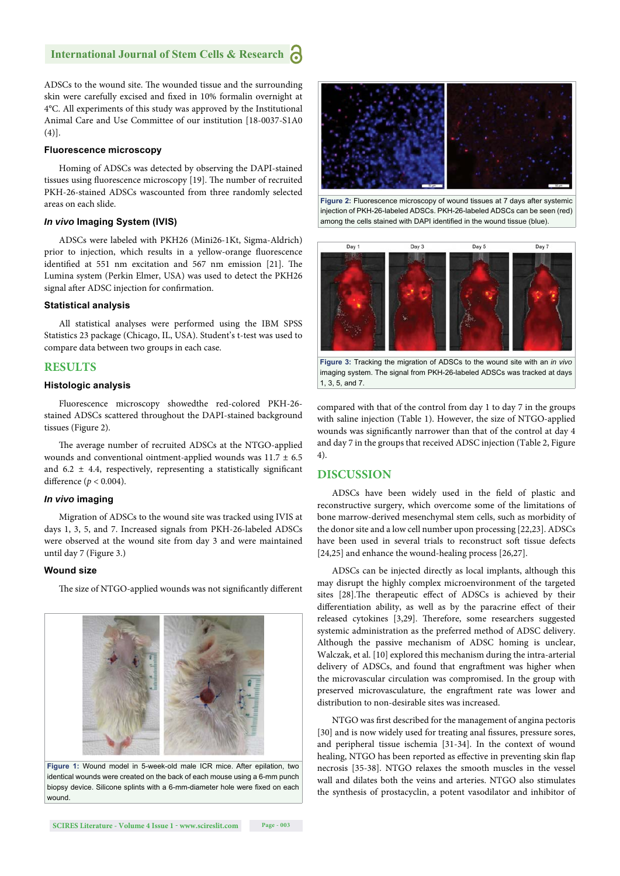ADSCs to the wound site. The wounded tissue and the surrounding skin were carefully excised and fixed in 10% formalin overnight at 4°C. All experiments of this study was approved by the Institutional Animal Care and Use Committee of our institution [18-0037-S1A0 (4)].

#### **Fluorescence microscopy**

Homing of ADSCs was detected by observing the DAPI-stained tissues using fluorescence microscopy [19]. The number of recruited PKH-26-stained ADSCs wascounted from three randomly selected areas on each slide.

#### *In vivo* **Imaging System (IVIS)**

ADSCs were labeled with PKH26 (Mini26-1Kt, Sigma-Aldrich) prior to injection, which results in a yellow-orange fluorescence identified at 551 nm excitation and 567 nm emission [21]. The Lumina system (Perkin Elmer, USA) was used to detect the PKH26 signal after ADSC injection for confirmation.

#### **Statistical analysis**

All statistical analyses were performed using the IBM SPSS Statistics 23 package (Chicago, IL, USA). Student's t-test was used to compare data between two groups in each case.

#### **RESULTS**

#### **Histologic analysis**

Fluorescence microscopy showedthe red-colored PKH-26 stained ADSCs scattered throughout the DAPI-stained background tissues (Figure 2).

The average number of recruited ADSCs at the NTGO-applied wounds and conventional ointment-applied wounds was  $11.7 \pm 6.5$ and 6.2  $\pm$  4.4, respectively, representing a statistically significant difference ( $p < 0.004$ ).

#### *In vivo* **imaging**

Migration of ADSCs to the wound site was tracked using IVIS at days 1, 3, 5, and 7. Increased signals from PKH-26-labeled ADSCs were observed at the wound site from day 3 and were maintained until day 7 (Figure 3.)

#### **Wound size**

The size of NTGO-applied wounds was not significantly different



identical wounds were created on the back of each mouse using a 6-mm punch biopsy device. Silicone splints with a 6-mm-diameter hole were fixed on each wound.



**Figure 2:** Fluorescence microscopy of wound tissues at 7 days after systemic injection of PKH-26-labeled ADSCs. PKH-26-labeled ADSCs can be seen (red) among the cells stained with DAPI identified in the wound tissue (blue).



**Figure 3:** Tracking the migration of ADSCs to the wound site with an *in vivo* imaging system. The signal from PKH-26-labeled ADSCs was tracked at days 1, 3, 5, and 7.

compared with that of the control from day 1 to day 7 in the groups with saline injection (Table 1). However, the size of NTGO-applied wounds was significantly narrower than that of the control at day 4 and day 7 in the groups that received ADSC injection (Table 2, Figure 4).

#### **DISCUSSION**

ADSCs have been widely used in the field of plastic and reconstructive surgery, which overcome some of the limitations of bone marrow-derived mesenchymal stem cells, such as morbidity of the donor site and a low cell number upon processing [22,23]. ADSCs have been used in several trials to reconstruct soft tissue defects [24,25] and enhance the wound-healing process [26,27].

ADSCs can be injected directly as local implants, although this may disrupt the highly complex microenvironment of the targeted sites [28].The therapeutic effect of ADSCs is achieved by their differentiation ability, as well as by the paracrine effect of their released cytokines [3,29]. Therefore, some researchers suggested systemic administration as the preferred method of ADSC delivery. Although the passive mechanism of ADSC homing is unclear, Walczak, et al. [10] explored this mechanism during the intra-arterial delivery of ADSCs, and found that engraftment was higher when the microvascular circulation was compromised. In the group with preserved microvasculature, the engraftment rate was lower and distribution to non-desirable sites was increased.

NTGO was first described for the management of angina pectoris [30] and is now widely used for treating anal fissures, pressure sores, and peripheral tissue ischemia [31-34]. In the context of wound healing, NTGO has been reported as effective in preventing skin flap necrosis [35-38]. NTGO relaxes the smooth muscles in the vessel wall and dilates both the veins and arteries. NTGO also stimulates the synthesis of prostacyclin, a potent vasodilator and inhibitor of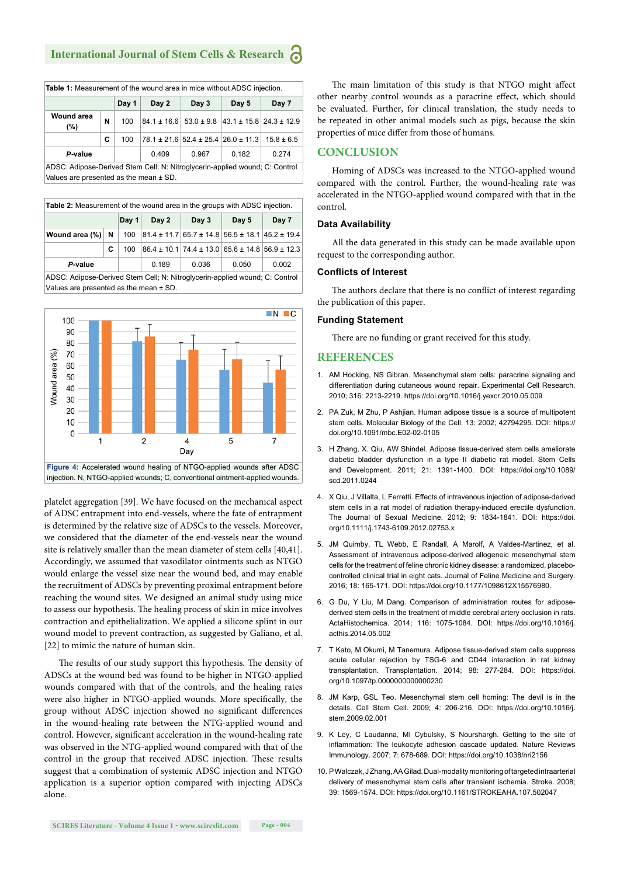| Table 1: Measurement of the wound area in mice without ADSC injection. |   |       |       |       |                                                    |                |  |  |  |
|------------------------------------------------------------------------|---|-------|-------|-------|----------------------------------------------------|----------------|--|--|--|
|                                                                        |   | Day 1 | Day 2 | Day 3 | Day 5                                              | Day 7          |  |  |  |
| <b>Wound area</b><br>(%)                                               | N | 100   |       |       | $84.1 \pm 16.6$ 53.0 ± 9.8 43.1 ± 15.8 24.3 ± 12.9 |                |  |  |  |
|                                                                        | c | 100   |       |       | $78.1 \pm 21.6$ 52.4 ± 25.4 26.0 ± 11.3            | $15.8 \pm 6.5$ |  |  |  |
| P-value                                                                |   |       | 0.409 | 0.967 | 0.182                                              | 0.274          |  |  |  |
| $\mathbf{A} \cap \mathbf{A} \cap \mathbf{A}$                           |   |       |       |       |                                                    |                |  |  |  |

ADSC: Adipose-Derived Stem Cell; N: Nitroglycerin-applied wound; C: Control Values are presented as the mean ± SD.

| Table 2: Measurement of the wound area in the groups with ADSC injection. |   |       |       |                                                                   |       |       |  |  |  |
|---------------------------------------------------------------------------|---|-------|-------|-------------------------------------------------------------------|-------|-------|--|--|--|
|                                                                           |   | Day 1 | Day 2 | Day 3                                                             | Day 5 | Day 7 |  |  |  |
| Wound area $(\%)$ N                                                       |   | 100   |       | $ 81.4 \pm 11.7 65.7 \pm 14.8 56.5 \pm 18.1 45.2 \pm 19.4$        |       |       |  |  |  |
|                                                                           | C | 100   |       | $ 86.4 \pm 10.1 $ 74.4 $\pm$ 13.0 65.6 $\pm$ 14.8 56.9 $\pm$ 12.3 |       |       |  |  |  |
| P-value                                                                   |   |       | 0.189 | 0.036                                                             | 0.050 | 0.002 |  |  |  |
| $\cdots$<br>$\sim$ $\sim$ $\sim$                                          |   |       |       |                                                                   |       |       |  |  |  |

ADSC: Adipose-Derived Stem Cell; N: Nitroglycerin-applied wound; C: Control Values are presented as the mean ± SD.



platelet aggregation [39]. We have focused on the mechanical aspect of ADSC entrapment into end-vessels, where the fate of entrapment is determined by the relative size of ADSCs to the vessels. Moreover, we considered that the diameter of the end-vessels near the wound site is relatively smaller than the mean diameter of stem cells [40,41]. Accordingly, we assumed that vasodilator ointments such as NTGO would enlarge the vessel size near the wound bed, and may enable the recruitment of ADSCs by preventing proximal entrapment before reaching the wound sites. We designed an animal study using mice to assess our hypothesis. The healing process of skin in mice involves contraction and epithelialization. We applied a silicone splint in our wound model to prevent contraction, as suggested by Galiano, et al. [22] to mimic the nature of human skin.

The results of our study support this hypothesis. The density of ADSCs at the wound bed was found to be higher in NTGO-applied wounds compared with that of the controls, and the healing rates were also higher in NTGO-applied wounds. More specifically, the group without ADSC injection showed no significant differences in the wound-healing rate between the NTG-applied wound and control. However, significant acceleration in the wound-healing rate was observed in the NTG-applied wound compared with that of the control in the group that received ADSC injection. These results suggest that a combination of systemic ADSC injection and NTGO application is a superior option compared with injecting ADSCs alone.

The main limitation of this study is that NTGO might affect other nearby control wounds as a paracrine effect, which should be evaluated. Further, for clinical translation, the study needs to be repeated in other animal models such as pigs, because the skin properties of mice differ from those of humans.

#### **CONCLUSION**

Homing of ADSCs was increased to the NTGO-applied wound compared with the control. Further, the wound-healing rate was accelerated in the NTGO-applied wound compared with that in the control.

#### **Data Availability**

All the data generated in this study can be made available upon request to the corresponding author.

#### **Conflicts of Interest**

The authors declare that there is no conflict of interest regarding the publication of this paper.

#### **Funding Statement**

There are no funding or grant received for this study.

#### **REFERENCES**

- 1. AM Hocking, NS Gibran. Mesenchymal stem cells: paracrine signaling and differentiation during cutaneous wound repair. Experimental Cell Research. 2010; 316: 2213-2219. https://doi.org/10.1016/j.yexcr.2010.05.009
- 2. PA Zuk, M Zhu, P Ashjian. Human adipose tissue is a source of multipotent stem cells. Molecular Biology of the Cell. 13: 2002; 42794295. DOI: https:// doi.org/10.1091/mbc.E02-02-0105
- 3. H Zhang, X. Qiu, AW Shindel. Adipose tissue-derived stem cells ameliorate diabetic bladder dysfunction in a type II diabetic rat model. Stem Cells and Development. 2011; 21: 1391-1400. DOI: https://doi.org/10.1089/ scd.2011.0244
- 4. X Qiu, J Villalta, L Ferretti, Effects of intravenous injection of adipose-derived stem cells in a rat model of radiation therapy-induced erectile dysfunction. The Journal of Sexual Medicine. 2012; 9: 1834-1841. DOI: https://doi. org/10.1111/j.1743-6109.2012.02753.x
- 5. JM Quimby, TL Webb, E Randall, A Marolf, A Valdes-Martinez, et al. Assessment of intravenous adipose-derived allogeneic mesenchymal stem cells for the treatment of feline chronic kidney disease: a randomized, placebocontrolled clinical trial in eight cats. Journal of Feline Medicine and Surgery. 2016; 18: 165-171. DOI: https://doi.org/10.1177/1098612X15576980.
- 6. G Du, Y Liu, M Dang. Comparison of administration routes for adiposederived stem cells in the treatment of middle cerebral artery occlusion in rats. ActaHistochemica. 2014; 116: 1075-1084. DOI: https://doi.org/10.1016/j. acthis.2014.05.002
- 7. T Kato, M Okumi, M Tanemura. Adipose tissue-derived stem cells suppress acute cellular rejection by TSG-6 and CD44 interaction in rat kidney transplantation. Transplantation. 2014; 98: 277-284. DOI: https://doi. org/10.1097/tp.0000000000000230
- 8. JM Karp, GSL Teo. Mesenchymal stem cell homing: The devil is in the details. Cell Stem Cell. 2009; 4: 206-216. DOI: https://doi.org/10.1016/j. stem.2009.02.001
- 9. K Ley, C Laudanna, MI Cybulsky, S Nourshargh. Getting to the site of inflammation: The leukocyte adhesion cascade updated. Nature Reviews Immunology. 2007; 7: 678-689. DOI: https://doi.org/10.1038/nri2156
- 10. P Walczak, J Zhang, AA Gilad. Dual-modality monitoring of targeted intraarterial delivery of mesenchymal stem cells after transient ischemia. Stroke. 2008; 39: 1569-1574. DOI: https://doi.org/10.1161/STROKEAHA.107.502047